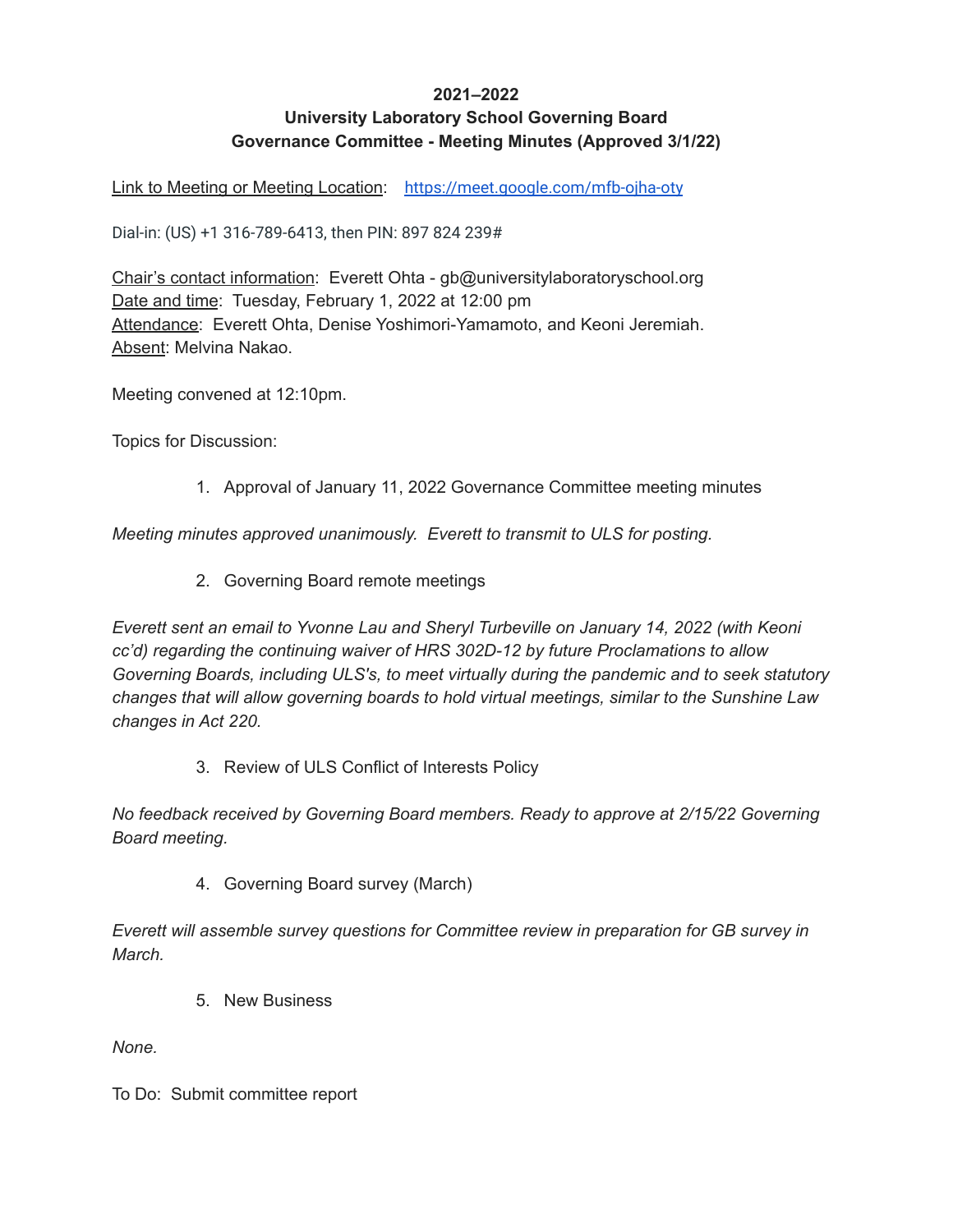## **2021–2022**

## **University Laboratory School Governing Board Governance Committee - Meeting Minutes (Approved 3/1/22)**

Link to Meeting or Meeting Location: <https://meet.google.com/mfb-ojha-oty>

Dial-in: (US) +1 316-789-6413, then PIN: 897 824 239#

Chair's contact information: Everett Ohta - gb@universitylaboratoryschool.org Date and time: Tuesday, February 1, 2022 at 12:00 pm Attendance: Everett Ohta, Denise Yoshimori-Yamamoto, and Keoni Jeremiah. Absent: Melvina Nakao.

Meeting convened at 12:10pm.

Topics for Discussion:

1. Approval of January 11, 2022 Governance Committee meeting minutes

*Meeting minutes approved unanimously. Everett to transmit to ULS for posting.*

2. Governing Board remote meetings

*Everett sent an email to Yvonne Lau and Sheryl Turbeville on January 14, 2022 (with Keoni cc'd) regarding the continuing waiver of HRS 302D-12 by future Proclamations to allow Governing Boards, including ULS's, to meet virtually during the pandemic and to seek statutory changes that will allow governing boards to hold virtual meetings, similar to the Sunshine Law changes in Act 220.*

3. Review of ULS Conflict of Interests Policy

*No feedback received by Governing Board members. Ready to approve at 2/15/22 Governing Board meeting.*

4. Governing Board survey (March)

*Everett will assemble survey questions for Committee review in preparation for GB survey in March.*

5. New Business

*None.*

To Do: Submit committee report